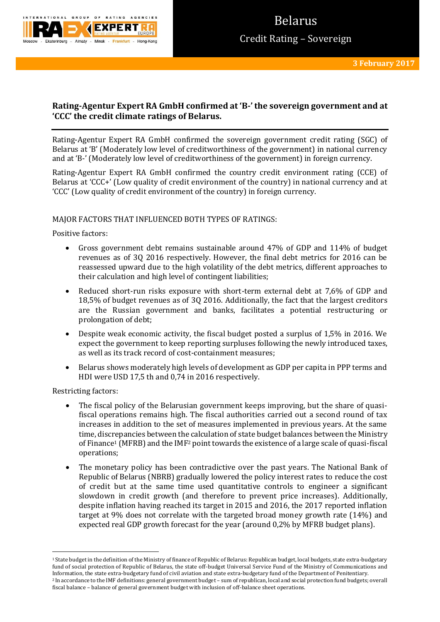

# **Rating-Agentur Expert RA GmbH confirmed at 'B-' the sovereign government and at 'CCC' the credit climate ratings of Belarus.**

Rating-Agentur Expert RA GmbH confirmed the sovereign government credit rating (SGC) of Belarus at 'B' (Moderately low level of creditworthiness of the government) in national currency and at 'B-' (Moderately low level of creditworthiness of the government) in foreign currency.

Rating-Agentur Expert RA GmbH confirmed the country credit environment rating (CCE) of Belarus at 'CCC+' (Low quality of credit environment of the country) in national currency and at 'CCC' (Low quality of credit environment of the country) in foreign currency.

### MAJOR FACTORS THAT INFLUENCED BOTH TYPES OF RATINGS:

Positive factors:

- Gross government debt remains sustainable around 47% of GDP and 114% of budget revenues as of 3Q 2016 respectively. However, the final debt metrics for 2016 can be reassessed upward due to the high volatility of the debt metrics, different approaches to their calculation and high level of contingent liabilities;
- Reduced short-run risks exposure with short-term external debt at 7,6% of GDP and 18,5% of budget revenues as of 3Q 2016. Additionally, the fact that the largest creditors are the Russian government and banks, facilitates a potential restructuring or prolongation of debt;
- Despite weak economic activity, the fiscal budget posted a surplus of 1,5% in 2016. We expect the government to keep reporting surpluses following the newly introduced taxes, as well as its track record of cost-containment measures;
- Belarus shows moderately high levels of development as GDP per capita in PPP terms and HDI were USD 17,5 th and 0,74 in 2016 respectively.

Restricting factors:

**.** 

- The fiscal policy of the Belarusian government keeps improving, but the share of quasifiscal operations remains high. The fiscal authorities carried out a second round of tax increases in addition to the set of measures implemented in previous years. At the same time, discrepancies between the calculation of state budget balances between the Ministry of Finance<sup>1</sup> (MFRB) and the  $IMF<sup>2</sup>$  point towards the existence of a large scale of quasi-fiscal operations;
- The monetary policy has been contradictive over the past years. The National Bank of Republic of Belarus (NBRB) gradually lowered the policy interest rates to reduce the cost of credit but at the same time used quantitative controls to engineer a significant slowdown in credit growth (and therefore to prevent price increases). Additionally, despite inflation having reached its target in 2015 and 2016, the 2017 reported inflation target at 9% does not correlate with the targeted broad money growth rate (14%) and expected real GDP growth forecast for the year (around 0,2% by MFRB budget plans).

<sup>&</sup>lt;sup>1</sup> State budget in the definition of the Ministry of finance of Republic of Belarus: Republican budget, local budgets, state extra-budgetary fund of social protection of Republic of Belarus, the state off-budget Universal Service Fund of the Ministry of Communications and Information, the state extra-budgetary fund of civil aviation and state extra-budgetary fund of the Department of Penitentiary. <sup>2</sup> In accordance to the IMF definitions: general government budget – sum of republican, local and social protection fund budgets; overall fiscal balance – balance of general government budget with inclusion of off-balance sheet operations.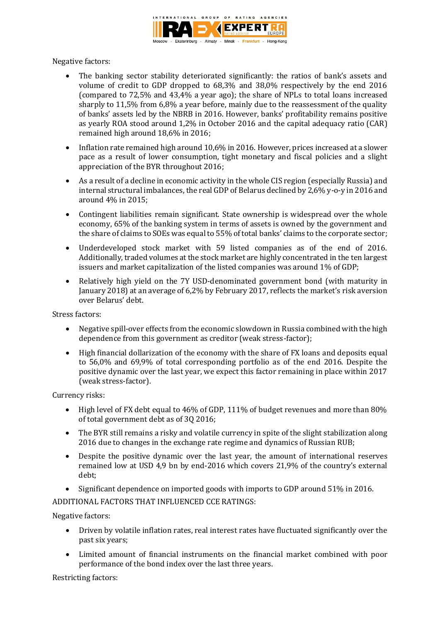

Negative factors:

- The banking sector stability deteriorated significantly: the ratios of bank's assets and volume of credit to GDP dropped to 68,3% and 38,0% respectively by the end 2016 (compared to 72,5% and 43,4% a year ago); the share of NPLs to total loans increased sharply to 11,5% from 6,8% a year before, mainly due to the reassessment of the quality of banks' assets led by the NBRB in 2016. However, banks' profitability remains positive as yearly ROA stood around 1,2% in October 2016 and the capital adequacy ratio (CAR) remained high around 18,6% in 2016;
- Inflation rate remained high around 10,6% in 2016. However, prices increased at a slower pace as a result of lower consumption, tight monetary and fiscal policies and a slight appreciation of the BYR throughout 2016;
- As a result of a decline in economic activity in the whole CIS region (especially Russia) and internal structural imbalances, the real GDP of Belarus declined by 2,6% y-o-y in 2016 and around 4% in 2015;
- Contingent liabilities remain significant. State ownership is widespread over the whole economy, 65% of the banking system in terms of assets is owned by the government and the share of claims to SOEs was equal to 55% of total banks' claims to the corporate sector;
- Underdeveloped stock market with 59 listed companies as of the end of 2016. Additionally, traded volumes at the stock market are highly concentrated in the ten largest issuers and market capitalization of the listed companies was around 1% of GDP;
- Relatively high yield on the 7Y USD-denominated government bond (with maturity in January 2018) at an average of 6,2% by February 2017, reflects the market's risk aversion over Belarus' debt.

Stress factors:

- Negative spill-over effects from the economic slowdown in Russia combined with the high dependence from this government as creditor (weak stress-factor);
- High financial dollarization of the economy with the share of FX loans and deposits equal to 56,0% and 69,9% of total corresponding portfolio as of the end 2016. Despite the positive dynamic over the last year, we expect this factor remaining in place within 2017 (weak stress-factor).

Currency risks:

- High level of FX debt equal to 46% of GDP, 111% of budget revenues and more than 80% of total government debt as of 3Q 2016;
- The BYR still remains a risky and volatile currency in spite of the slight stabilization along 2016 due to changes in the exchange rate regime and dynamics of Russian RUB;
- Despite the positive dynamic over the last year, the amount of international reserves remained low at USD 4,9 bn by end-2016 which covers 21,9% of the country's external debt;
- Significant dependence on imported goods with imports to GDP around 51% in 2016.

ADDITIONAL FACTORS THAT INFLUENCED CCE RATINGS:

Negative factors:

- Driven by volatile inflation rates, real interest rates have fluctuated significantly over the past six years;
- Limited amount of financial instruments on the financial market combined with poor performance of the bond index over the last three years.

Restricting factors: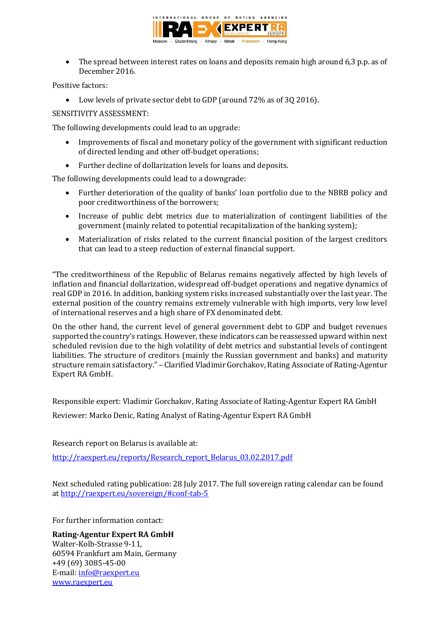

• The spread between interest rates on loans and deposits remain high around 6,3 p.p. as of December 2016.

Positive factors:

Low levels of private sector debt to GDP (around 72% as of 3Q 2016).

SENSITIVITY ASSESSMENT:

The following developments could lead to an upgrade:

- Improvements of fiscal and monetary policy of the government with significant reduction of directed lending and other off-budget operations;
- Further decline of dollarization levels for loans and deposits.

The following developments could lead to a downgrade:

- Further deterioration of the quality of banks' loan portfolio due to the NBRB policy and poor creditworthiness of the borrowers;
- Increase of public debt metrics due to materialization of contingent liabilities of the government (mainly related to potential recapitalization of the banking system);
- Materialization of risks related to the current financial position of the largest creditors that can lead to a steep reduction of external financial support.

"The creditworthiness of the Republic of Belarus remains negatively affected by high levels of inflation and financial dollarization, widespread off-budget operations and negative dynamics of real GDP in 2016. In addition, banking system risks increased substantially over the last year. The external position of the country remains extremely vulnerable with high imports, very low level of international reserves and a high share of FX denominated debt.

On the other hand, the current level of general government debt to GDP and budget revenues supported the country's ratings. However, these indicators can be reassessed upward within next scheduled revision due to the high volatility of debt metrics and substantial levels of contingent liabilities. The structure of creditors (mainly the Russian government and banks) and maturity structure remain satisfactory." – Clarified Vladimir Gorchakov, Rating Associate of Rating-Agentur Expert RA GmbH.

Responsible expert: Vladimir Gorchakov, Rating Associate of Rating-Agentur Expert RA GmbH

Reviewer: Marko Denic, Rating Analyst of Rating-Agentur Expert RA GmbH

Research report on Belarus is available at:

[http://raexpert.eu/reports/Research\\_report\\_Belarus\\_03.02.2017.pdf](http://raexpert.eu/reports/Research_report_Belarus_03.02.2017.pdf)

Next scheduled rating publication: 28 July 2017. The full sovereign rating calendar can be found at<http://raexpert.eu/sovereign/#conf-tab-5>

For further information contact:

**Rating-Agentur Expert RA GmbH** Walter-Kolb-Strasse 9-11, 60594 Frankfurt am Main, Germany +49 (69) 3085-45-00 E-mail: [info@raexpert.eu](mailto:info@raexpert.eu) [www.raexpert.eu](http://raexpert.eu/)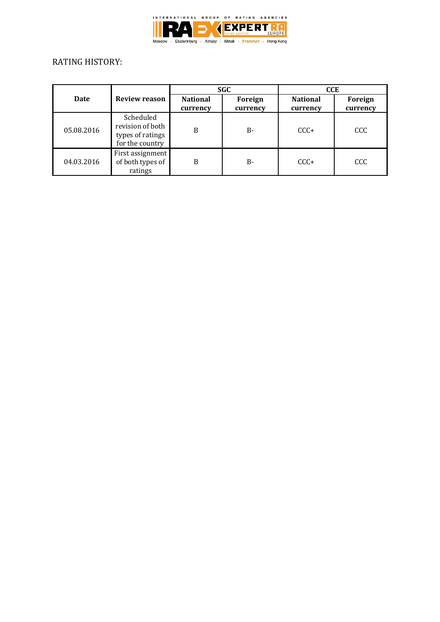

# RATING HISTORY:

|            | <b>Review reason</b>                                                 | SGC                         |                     | <b>CCE</b>                  |                     |
|------------|----------------------------------------------------------------------|-----------------------------|---------------------|-----------------------------|---------------------|
| Date       |                                                                      | <b>National</b><br>currency | Foreign<br>currency | <b>National</b><br>currency | Foreign<br>currency |
| 05.08.2016 | Scheduled<br>revision of both<br>types of ratings<br>for the country | B                           | $B -$               | $CCC +$                     | CCC                 |
| 04.03.2016 | First assignment<br>of both types of<br>ratings                      | B                           | $B -$               | $CCC+$                      | CCC                 |